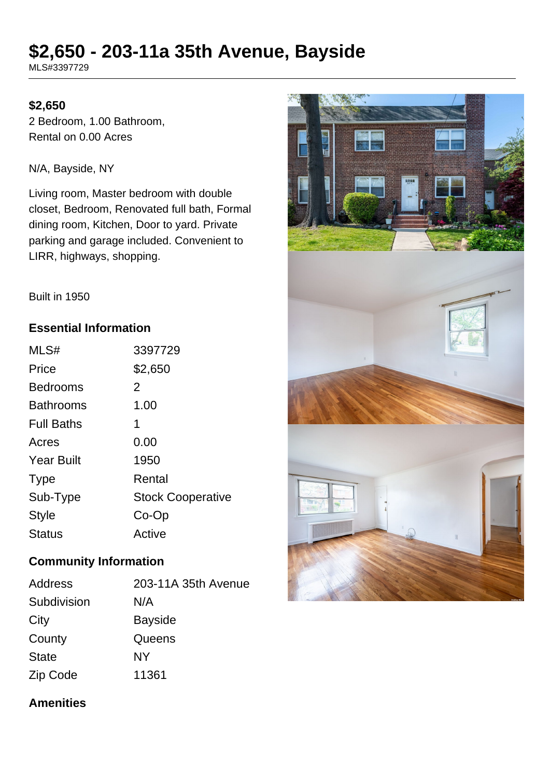# **\$2,650 - 203-11a 35th Avenue, Bayside**

MLS#3397729

# **\$2,650**

2 Bedroom, 1.00 Bathroom, Rental on 0.00 Acres

N/A, Bayside, NY

Living room, Master bedroom with double closet, Bedroom, Renovated full bath, Formal dining room, Kitchen, Door to yard. Private parking and garage included. Convenient to LIRR, highways, shopping.



Built in 1950

# **Essential Information**

| MLS#              | 3397729                  |
|-------------------|--------------------------|
| Price             | \$2,650                  |
| <b>Bedrooms</b>   | 2                        |
| <b>Bathrooms</b>  | 1.00                     |
| <b>Full Baths</b> | 1                        |
| Acres             | 0.00                     |
| <b>Year Built</b> | 1950                     |
| <b>Type</b>       | Rental                   |
| Sub-Type          | <b>Stock Cooperative</b> |
| <b>Style</b>      | Co-Op                    |
| Status            | Active                   |

#### **Community Information**

| Address      | 203-11A 35th Avenue |
|--------------|---------------------|
| Subdivision  | N/A                 |
| City         | <b>Bayside</b>      |
| County       | Queens              |
| <b>State</b> | NY                  |
| Zip Code     | 11361               |

# **Amenities**